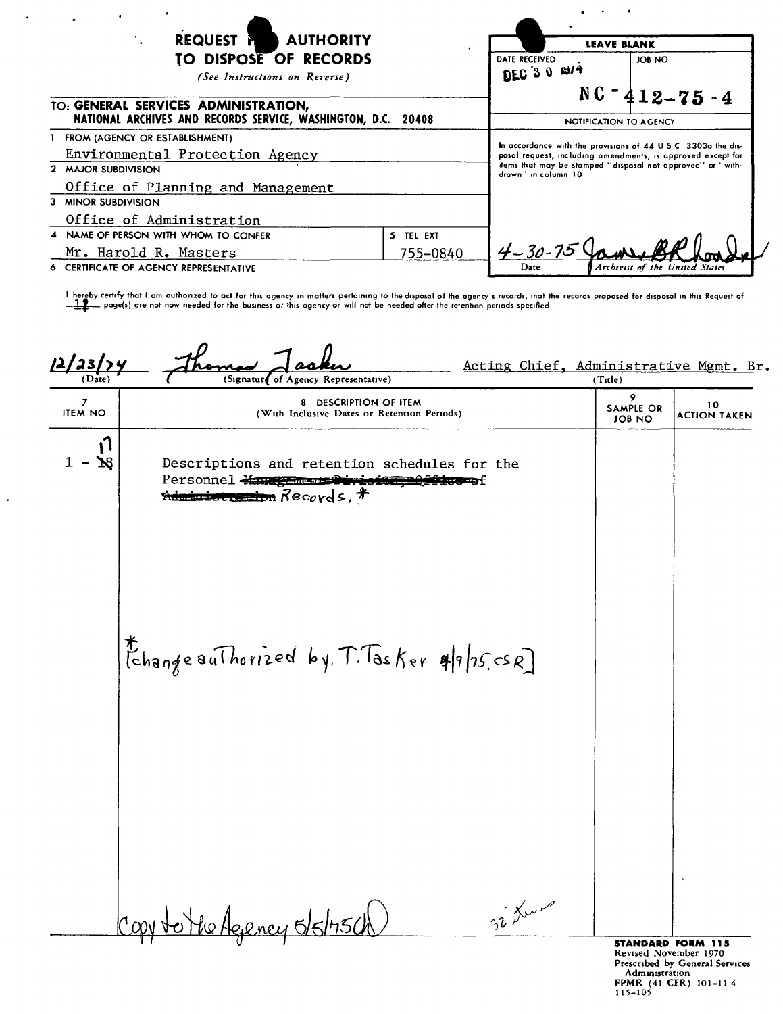| <b>REQUEST N</b><br><b>AUTHORITY</b>                                                                  | <b>LEAVE BLANK</b>              |                                                                                                                                                                                                                     |                                |  |
|-------------------------------------------------------------------------------------------------------|---------------------------------|---------------------------------------------------------------------------------------------------------------------------------------------------------------------------------------------------------------------|--------------------------------|--|
| TO DISPOSE OF RECORDS<br>(See Instructions on Reverse)                                                | DATE RECEIVED<br>DEC 3 0 $13/4$ | JOB NO                                                                                                                                                                                                              |                                |  |
| TO: GENERAL SERVICES ADMINISTRATION.<br>NATIONAL ARCHIVES AND RECORDS SERVICE, WASHINGTON, D.C. 20408 | NOTIFICATION TO AGENCY          | $NC - 412 - 75 - 4$                                                                                                                                                                                                 |                                |  |
| FROM (AGENCY OR ESTABLISHMENT)                                                                        |                                 |                                                                                                                                                                                                                     |                                |  |
| Environmental Protection Agency                                                                       |                                 | In accordance with the provisions of 44 U.S.C. 3303a the dis-<br>posal request, including amendments, is approved except for<br>items that may be stamped "disposal not approved" or ' with-<br>drawn 'in column 10 |                                |  |
| 2 MAJOR SUBDIVISION                                                                                   |                                 |                                                                                                                                                                                                                     |                                |  |
| Office of Planning and Management                                                                     |                                 |                                                                                                                                                                                                                     |                                |  |
| 3 MINOR SUBDIVISION                                                                                   |                                 |                                                                                                                                                                                                                     |                                |  |
| Office of Administration                                                                              |                                 |                                                                                                                                                                                                                     |                                |  |
| 4 NAME OF PERSON WITH WHOM TO CONFER                                                                  | 5 TEL EXT                       |                                                                                                                                                                                                                     |                                |  |
| Mr. Harold R. Masters                                                                                 | 755-0840                        | $4 - 30 - 75$                                                                                                                                                                                                       |                                |  |
| 6 CERTIFICATE OF AGENCY REPRESENTATIVE                                                                |                                 | Date                                                                                                                                                                                                                | Archivist of the United States |  |

 $\ddot{\phantom{a}}$ 

 $\bar{z}$ 

| $\frac{12/23/y}{\frac{(Date)}{2}}$ | Acting Chief, Administrative Mgmt. Br.<br>(Signature of Agency Representative)                                                    | (Title)                         |                           |
|------------------------------------|-----------------------------------------------------------------------------------------------------------------------------------|---------------------------------|---------------------------|
| $\overline{z}$<br><b>ITEM NO</b>   | 8 DESCRIPTION OF ITEM<br>(With Inclusive Dates or Retention Periods)                                                              | 9<br><b>SAMPLE OR</b><br>JOB NO | 10<br><b>ACTION TAKEN</b> |
| N<br>$\mathbf{N}$                  | Descriptions and retention schedules for the<br>Personnel Many Champer Division<br>≇छङ≖छ£<br><del>Administration</del> Records, # |                                 |                           |
|                                    | thangeauThorized by T. Tasker 4/9/25 csR]                                                                                         |                                 |                           |
|                                    |                                                                                                                                   |                                 | $\ddot{\phantom{0}}$      |
|                                    | 32 Lene<br>the Ageney 5/5/75ch<br>Casy to                                                                                         |                                 | STANDARD FORM 115         |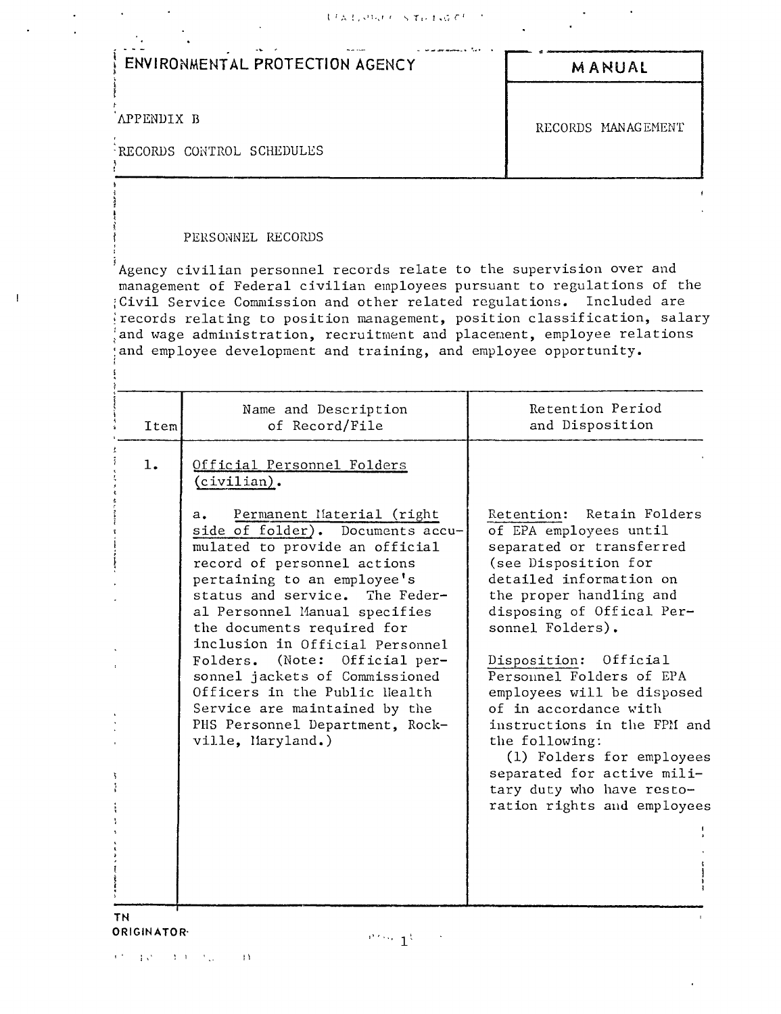| ますみずいけん ちゃくすみ おここぞく プー |  |  |
|------------------------|--|--|
|------------------------|--|--|

| ENVIRONMENTAL PROTECTION AGENCY         | MANUAL             |
|-----------------------------------------|--------------------|
| APPENDIX B<br>RECORDS CONTROL SCHEDULES | RECORDS MANAGEMENT |

#### PERSONNEL RECORDS

 $\mathbf{I}$ 

Agency civilian personnel records relate to the supervision over and management of Federal civilian employees pursuant to regulations of the Civil Service Commission and other related regulations. Included are records relating to position management, position classification, salary and wage administration, recruitment and placement, employee relations and employee development and training, and employee opportunity.

#### **TN** ORIGINATOR-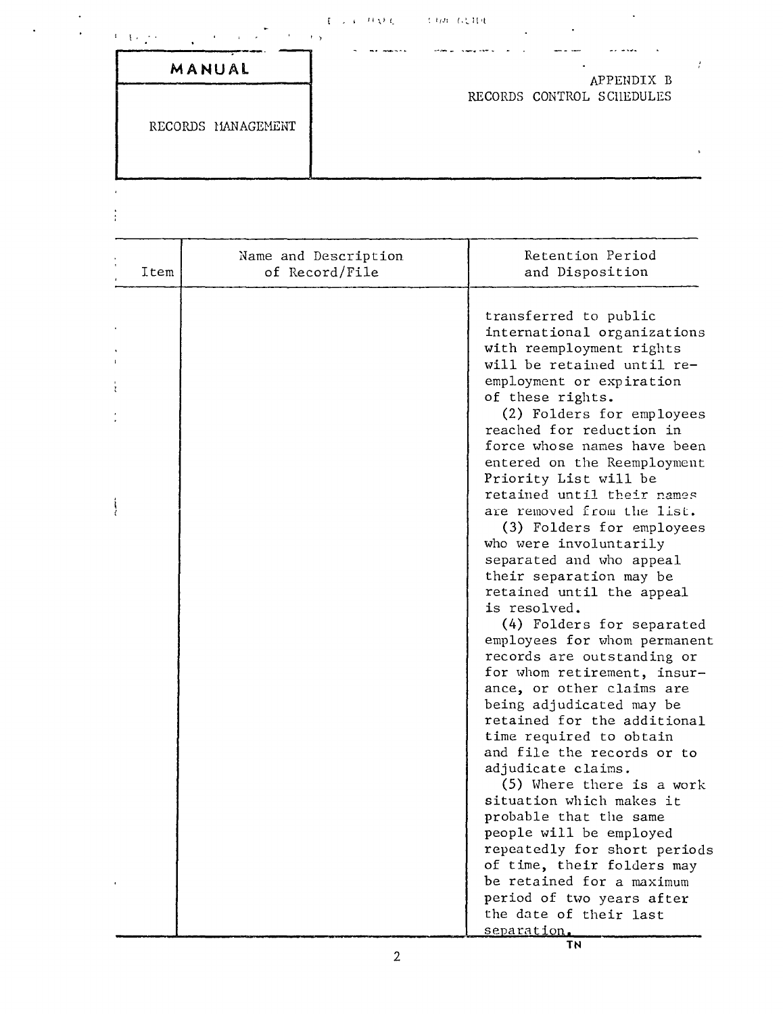#### $\mathbf{F} \rightarrow \mathbf{F}^{-1} \mathbf{F} \mathbf{A}^{\dagger} \mathbf{C}$  $\mathbb{C}^4 \partial \mathcal{F}$  (c),  $\mathbb{H}^4 \mathbb{C}$

| MANUAL |  |  |  |
|--------|--|--|--|

 $\label{eq:3.1} \left\langle \left( \mathbf{I} \right) \right\rangle \left( \left( \mathbf{I} \right) \right) \left( \left( \mathbf{I} \right) \right)$ 

 $\overline{1}$  $\ddot{z}$  RECORDS MANAGEMENT

APPENDIX B RECORDS CONTROL SCHEDULES

 $\sim$   $\frac{1}{\epsilon}$ 

 $\ddot{\phantom{a}}$ 

| Item | Name and Description<br>of Record/File | Retention Period<br>and Disposition                                                                                                                                                                                                                                                                                                                                                                                                                                                                                                                                                                                                                                                                                                                                                                                                    |
|------|----------------------------------------|----------------------------------------------------------------------------------------------------------------------------------------------------------------------------------------------------------------------------------------------------------------------------------------------------------------------------------------------------------------------------------------------------------------------------------------------------------------------------------------------------------------------------------------------------------------------------------------------------------------------------------------------------------------------------------------------------------------------------------------------------------------------------------------------------------------------------------------|
|      |                                        | transferred to public<br>international organizations<br>with reemployment rights<br>will be retained until re-<br>employment or expiration<br>of these rights.<br>(2) Folders for employees<br>reached for reduction in<br>force whose names have been<br>entered on the Reemployment<br>Priority List will be<br>retained until their names<br>are removed from the list.<br>(3) Folders for employees<br>who were involuntarily<br>separated and who appeal<br>their separation may be<br>retained until the appeal<br>is resolved.<br>(4) Folders for separated<br>employees for whom permanent<br>records are outstanding or<br>for whom retirement, insur-<br>ance, or other claims are<br>being adjudicated may be<br>retained for the additional<br>time required to obtain<br>and file the records or to<br>adjudicate claims. |
|      |                                        | (5) Where there is a work<br>situation which makes it<br>probable that the same                                                                                                                                                                                                                                                                                                                                                                                                                                                                                                                                                                                                                                                                                                                                                        |
|      |                                        | people will be employed<br>repeatedly for short periods<br>of time, their folders may<br>be retained for a maximum<br>period of two years after                                                                                                                                                                                                                                                                                                                                                                                                                                                                                                                                                                                                                                                                                        |
|      |                                        | the date of their last<br>separation.                                                                                                                                                                                                                                                                                                                                                                                                                                                                                                                                                                                                                                                                                                                                                                                                  |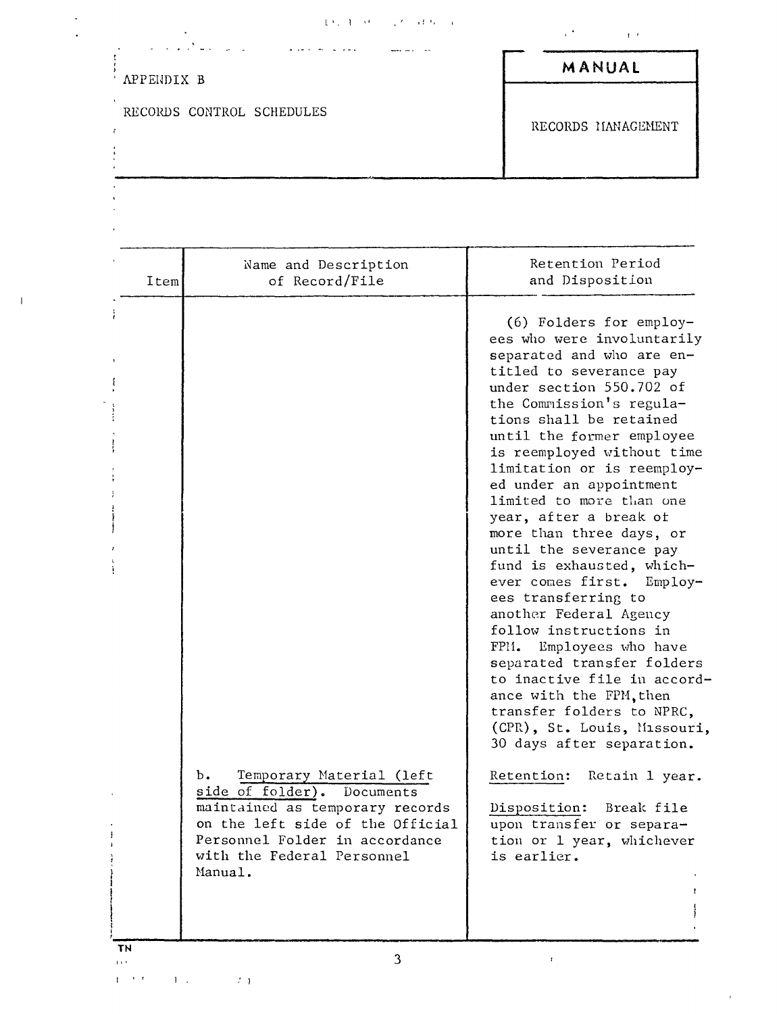$\label{eq:2.1} \frac{1}{\sqrt{2}}\int_{\mathbb{R}^3}\frac{1}{\sqrt{2}}\left(\frac{1}{\sqrt{2}}\right)^2\frac{1}{\sqrt{2}}\left(\frac{1}{\sqrt{2}}\right)^2\frac{1}{\sqrt{2}}\left(\frac{1}{\sqrt{2}}\right)^2.$ 

| APPENDIX B |                                                                                                                                                                                                                | MANUAL                                                                                                                                                                                                                                                                                                                                                                                                                                                                                                                                                                                                                                                                                                                                                                                                                                                                                                                        |
|------------|----------------------------------------------------------------------------------------------------------------------------------------------------------------------------------------------------------------|-------------------------------------------------------------------------------------------------------------------------------------------------------------------------------------------------------------------------------------------------------------------------------------------------------------------------------------------------------------------------------------------------------------------------------------------------------------------------------------------------------------------------------------------------------------------------------------------------------------------------------------------------------------------------------------------------------------------------------------------------------------------------------------------------------------------------------------------------------------------------------------------------------------------------------|
|            | RECORDS CONTROL SCHEDULES                                                                                                                                                                                      | RECORDS MANAGEMENT                                                                                                                                                                                                                                                                                                                                                                                                                                                                                                                                                                                                                                                                                                                                                                                                                                                                                                            |
| Item       | Name and Description<br>of Record/File                                                                                                                                                                         | Retention Period<br>and Disposition                                                                                                                                                                                                                                                                                                                                                                                                                                                                                                                                                                                                                                                                                                                                                                                                                                                                                           |
|            | Temporary Material (left<br>ь.<br>side of folder). Documents<br>maintained as temporary records<br>on the left side of the Official<br>Personnel Folder in accordance<br>with the Federal Personnel<br>Manual. | (6) Folders for employ-<br>ees who were involuntarily<br>separated and who are en-<br>titled to severance pay<br>under section 550.702 of<br>the Commission's regula-<br>tions shall be retained<br>until the former employee<br>is reemployed without time<br>limitation or is reemploy-<br>ed under an appointment<br>limited to more than one<br>year, after a break of<br>more than three days, or<br>until the severance pay<br>fund is exhausted, which-<br>ever comes first.<br>$Employ-$<br>ees transferring to<br>another Federal Agency<br>follow instructions in<br>FPM. Employees who have<br>separated transfer folders<br>to inactive file in accord-<br>ance with the FPM, then<br>transfer folders to NPRC,<br>(CPR), St. Louis, Missouri,<br>30 days after separation.<br>Retention:<br>Retain 1 year.<br>Break file<br>Disposition:<br>upon transfer or separa-<br>tion or 1 year, whichever<br>is earlier. |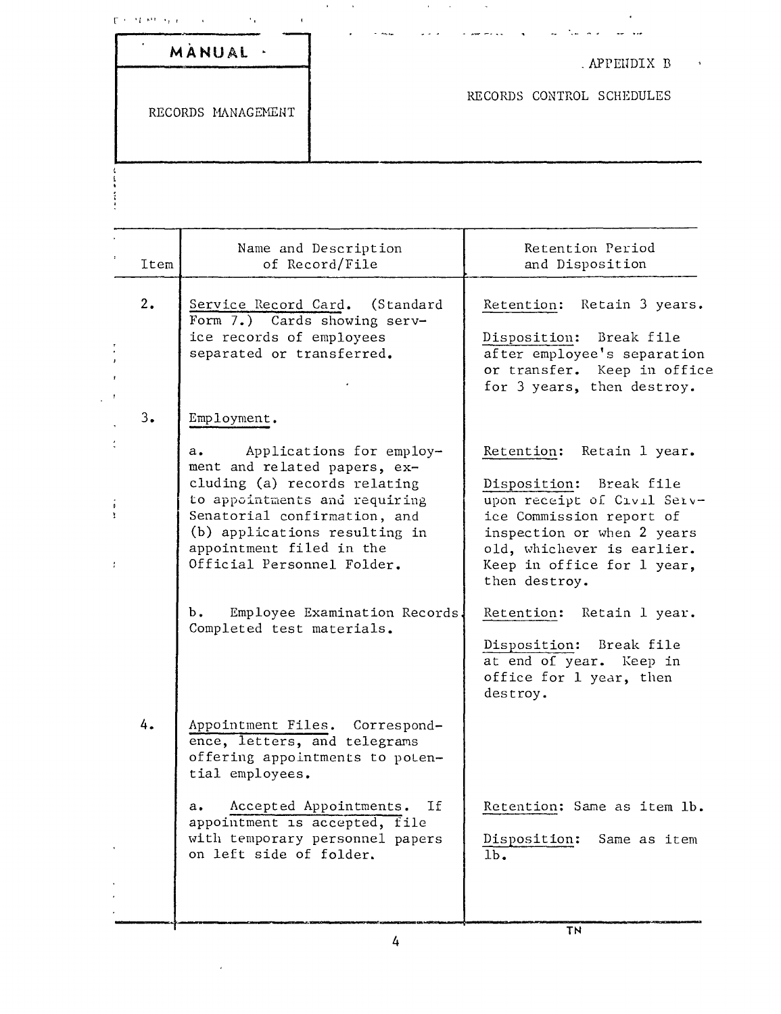|      | MANUAL .                                                                                                                                                                                                                                      |                               | . APPENDIX B                                                                                                                                                                                                                  |
|------|-----------------------------------------------------------------------------------------------------------------------------------------------------------------------------------------------------------------------------------------------|-------------------------------|-------------------------------------------------------------------------------------------------------------------------------------------------------------------------------------------------------------------------------|
|      | RECORDS MANAGEMENT                                                                                                                                                                                                                            |                               | RECORDS CONTROL SCHEDULES                                                                                                                                                                                                     |
|      |                                                                                                                                                                                                                                               |                               |                                                                                                                                                                                                                               |
| Item | Name and Description<br>of Record/File                                                                                                                                                                                                        |                               | Retention Period<br>and Disposition                                                                                                                                                                                           |
| 2.   | Service Record Card. (Standard<br>Form $7.$ ) Cards showing serv-<br>ice records of employees<br>separated or transferred.                                                                                                                    |                               | Retain 3 years.<br>Retention:<br>Break file<br>Disposition:<br>after employee's separation<br>or transfer. Keep in office<br>for 3 years, then destroy.                                                                       |
| 3.   | Employment.<br>а.<br>ment and related papers, ex-<br>cluding (a) records relating<br>to appointments and requiring<br>Senatorial confirmation, and<br>(b) applications resulting in<br>appointment filed in the<br>Official Personnel Folder. | Applications for employ-      | Retention:<br>Retain 1 year.<br>Disposition: Break file<br>upon receipt of Civil Serv-<br>ice Commission report of<br>inspection or when 2 years<br>old, whichever is earlier.<br>Keep in office for 1 year,<br>then destroy. |
|      | b.<br>Completed test materials.                                                                                                                                                                                                               | Employee Examination Records. | Retention:<br>Retain 1 year.<br>Disposition:<br>Break file<br>at end of year. Keep in<br>office for 1 year, then<br>destroy.                                                                                                  |
| 4.   | Appointment Files. Correspond-<br>ence, letters, and telegrams<br>offering appointments to poten-<br>tial employees.                                                                                                                          |                               |                                                                                                                                                                                                                               |
|      | Accepted Appointments.<br>$a_{\bullet}$<br>appointment is accepted, file<br>with temporary personnel papers<br>on left side of folder.                                                                                                        | Ιf                            | Retention: Same as item lb.<br>Disposition:<br>Same as item<br>$1b$ .                                                                                                                                                         |
|      |                                                                                                                                                                                                                                               |                               |                                                                                                                                                                                                                               |

 $\mathcal{L}_{\text{max}}$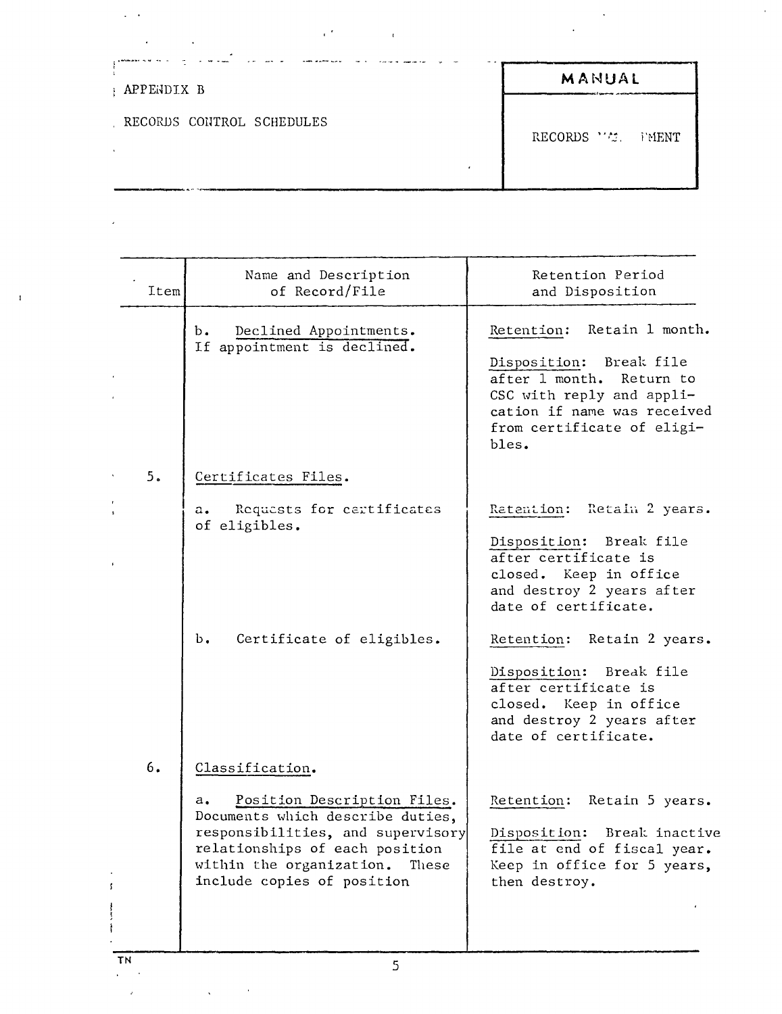| APPENDIX B                | MANUAL             |
|---------------------------|--------------------|
| RECORDS CONTROL SCHEDULES | RECORDS ''". FMENT |

 $\mathbf{r}$ 

 $\epsilon^{-1}$ 

| Item | Name and Description<br>of Record/File                                                                                                                                                                                             | Retention Period<br>and Disposition                                                                                                                                                                                                                                                                                                |
|------|------------------------------------------------------------------------------------------------------------------------------------------------------------------------------------------------------------------------------------|------------------------------------------------------------------------------------------------------------------------------------------------------------------------------------------------------------------------------------------------------------------------------------------------------------------------------------|
|      | Declined Appointments.<br>b.<br>If appointment is declined.                                                                                                                                                                        | Retain 1 month.<br>Retention:<br>Break file<br>Disposition:<br>after 1 month.<br>Return to<br>CSC with reply and appli-<br>cation if name was received<br>from certificate of eligi-<br>bles.                                                                                                                                      |
| 5.   | Certificates Files.                                                                                                                                                                                                                |                                                                                                                                                                                                                                                                                                                                    |
|      | Requests for certificates<br>a.<br>of eligibles.<br>Ъ.<br>Certificate of eligibles.                                                                                                                                                | Retain 2 years.<br>Ratantion:<br>Disposition: Break file<br>after certificate is<br>closed. Keep in office<br>and destroy 2 years after<br>date of certificate.<br>Retain 2 years.<br>Retention:<br>Disposition: Break file<br>after certificate is<br>closed. Keep in office<br>and destroy 2 years after<br>date of certificate. |
| 6.   | Classification.<br>Position Description Files.<br>a.<br>Documents which describe duties,<br>responsibilities, and supervisory<br>relationships of each position<br>within the organization.<br>These<br>include copies of position | Retain 5 years.<br>Retention:<br>Break inactive<br>Disposition:<br>file at end of fiscal year.<br>Keep in office for 5 years,<br>then destroy.                                                                                                                                                                                     |

ż,

 $\ddot{\phantom{a}}$ ù.

l,

 $\overline{1}$ 

 $\ddot{\phantom{a}}$ 

 $\alpha$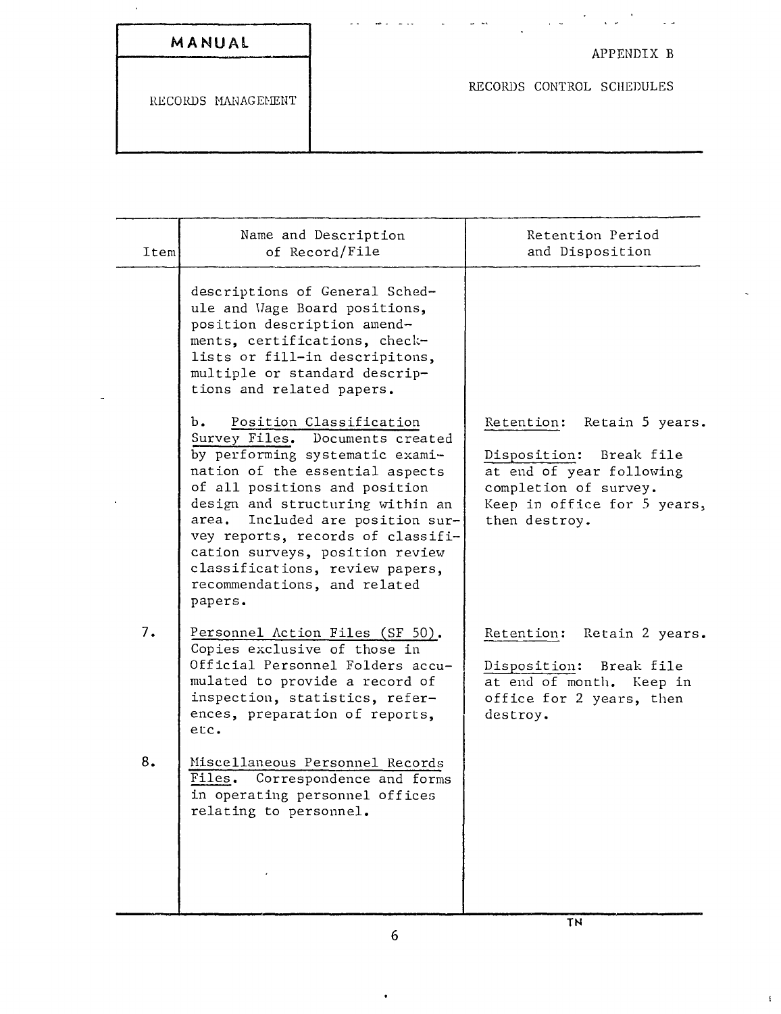| MANUAL |  |  |  |  |  |
|--------|--|--|--|--|--|
|--------|--|--|--|--|--|

 $\bar{\phantom{a}}$ 

## APPENDIX <sup>B</sup>

 $\bar{\mathbb{Z}}$  .

 $\bar{\rm E}$ 

 $\sigma_{\rm{max}}$  and  $\sigma_{\rm{max}}$ 

RECORDS CONTROL SCHEDULES

 $\bar{z}$  ,  $\bar{z}$ 

| Item | Name and Description<br>of Record/File                                                                                                                                                                                                                                                                                                                                                                   | Retention Period<br>and Disposition                                                                                                                        |
|------|----------------------------------------------------------------------------------------------------------------------------------------------------------------------------------------------------------------------------------------------------------------------------------------------------------------------------------------------------------------------------------------------------------|------------------------------------------------------------------------------------------------------------------------------------------------------------|
|      | descriptions of General Sched-<br>ule and Wage Board positions,<br>position description amend-<br>ments, certifications, check-<br>lists or fill-in descripitons,<br>multiple or standard descrip-<br>tions and related papers.                                                                                                                                                                          |                                                                                                                                                            |
|      | Position Classification<br>b.<br>Survey Files. Documents created<br>by performing systematic exami-<br>nation of the essential aspects<br>of all positions and position<br>design and structuring within an<br>Included are position sur-<br>area.<br>vey reports, records of classifi-<br>cation surveys, position review<br>classifications, review papers,<br>recommendations, and related<br>papers. | Retention: Retain 5 years.<br>Disposition: Break file<br>at end of year following<br>completion of survey.<br>Keep in office for 5 years,<br>then destroy. |
| 7.   | Personnel Action Files (SF 50).<br>Copies exclusive of those in<br>Official Personnel Folders accu-<br>mulated to provide a record of<br>inspection, statistics, refer-<br>ences, preparation of reports,<br>etc.                                                                                                                                                                                        | Retention: Retain 2 years.<br>Disposition:<br>Break file<br>at end of month. Keep in<br>office for 2 years, then<br>destroy.                               |
| 8.   | Miscellaneous Personnel Records<br>Files. Correspondence and forms<br>in operating personnel offices<br>relating to personnel.                                                                                                                                                                                                                                                                           |                                                                                                                                                            |
|      |                                                                                                                                                                                                                                                                                                                                                                                                          | <b>TN</b>                                                                                                                                                  |

 $\omega \rightarrow \omega$ 

بداعا

֦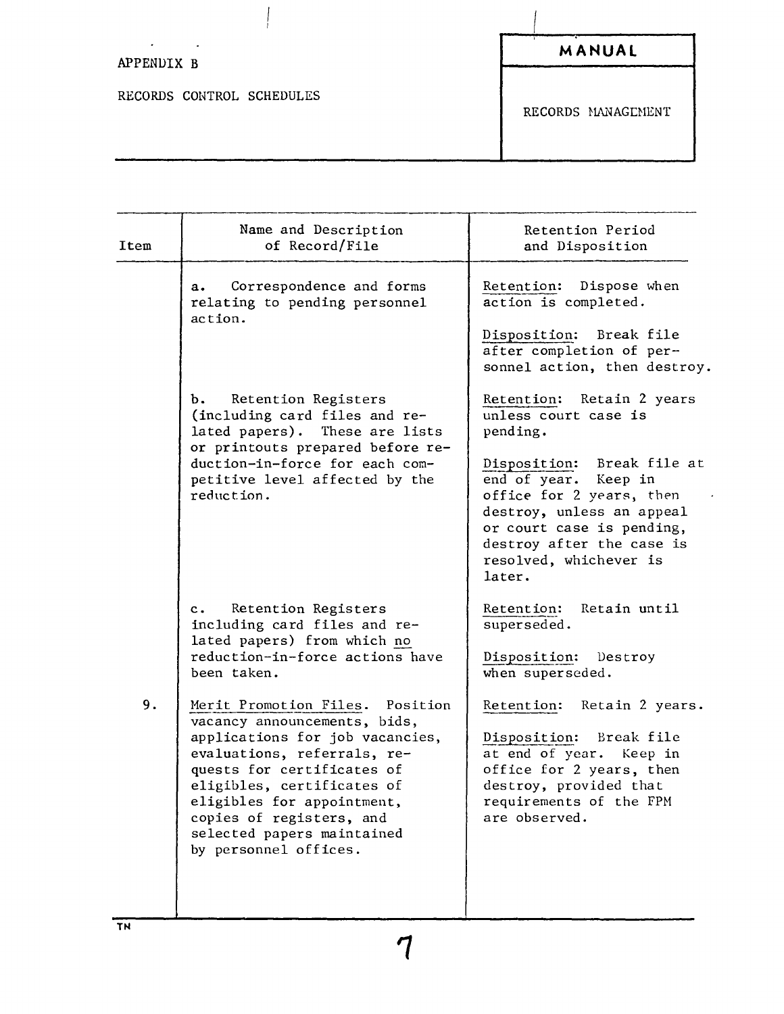## $\sim 10^{-11}$ APPENDIX B

RECORDS CONTROL SCHEDULES

 $\overline{a}$ 

 $\int\limits_{1}% \int\limits_{1}% \int\limits_{1}% \int\limits_{1}% \int\limits_{1}% \int\limits_{1}% \int\limits_{1}% \int\limits_{1}% \int\limits_{1}% \int\limits_{1}% \int\limits_{1}% \int\limits_{1}% \int\limits_{1}% \int\limits_{1}% \int\limits_{1}% \int\limits_{1}% \int\limits_{1}% \int\limits_{1}% \int\limits_{1}% \int\limits_{1}% \int\limits_{1}% \int\limits_{1}% \int\limits_{1}% \int\limits_{1}% \int\limits_{1}% \int\limits_{1}% \int\limits_{1}% \int\limits_{1}% \int\limits_{1}% \int\limits_{1}% \int\limits_{1}% \int\$ 

RECORDS MANAGEMENT

| Item | Name and Description<br>of Record/File                                                                                                                                                                                                                                                                            | Retention Period<br>and Disposition                                                                                                                                                                                                                                           |
|------|-------------------------------------------------------------------------------------------------------------------------------------------------------------------------------------------------------------------------------------------------------------------------------------------------------------------|-------------------------------------------------------------------------------------------------------------------------------------------------------------------------------------------------------------------------------------------------------------------------------|
|      | Correspondence and forms<br>a.<br>relating to pending personnel<br>action.                                                                                                                                                                                                                                        | Retention: Dispose when<br>action is completed.<br>Disposition: Break file<br>after completion of per-<br>sonnel action, then destroy.                                                                                                                                        |
|      | Retention Registers<br>b.<br>(including card files and re-<br>lated papers). These are lists<br>or printouts prepared before re-<br>duction-in-force for each com-<br>petitive level affected by the<br>reduction.                                                                                                | Retention: Retain 2 years<br>unless court case is<br>pending.<br>Break file at<br>Disposition:<br>end of year. Keep in<br>office for 2 years, then<br>destroy, unless an appeal<br>or court case is pending,<br>destroy after the case is<br>resolved, whichever is<br>later. |
|      | Retention Registers<br>$c_{\bullet}$<br>including card files and re-<br>lated papers) from which no<br>reduction-in-force actions have<br>been taken.                                                                                                                                                             | Retain until<br>Retention:<br>superseded.<br>Disposition:<br>Destroy<br>when superseded.                                                                                                                                                                                      |
| 9.   | Merit Promotion Files.<br>Position<br>vacancy announcements, bids,<br>applications for job vacancies,<br>evaluations, referrals, re-<br>quests for certificates of<br>eligibles, certificates of<br>eligibles for appointment,<br>copies of registers, and<br>selected papers maintained<br>by personnel offices. | Retain 2 years.<br>Retention:<br>Disposition:<br>Break file<br>at end of year. Keep in<br>office for 2 years, then<br>destroy, provided that<br>requirements of the FPM<br>are observed.                                                                                      |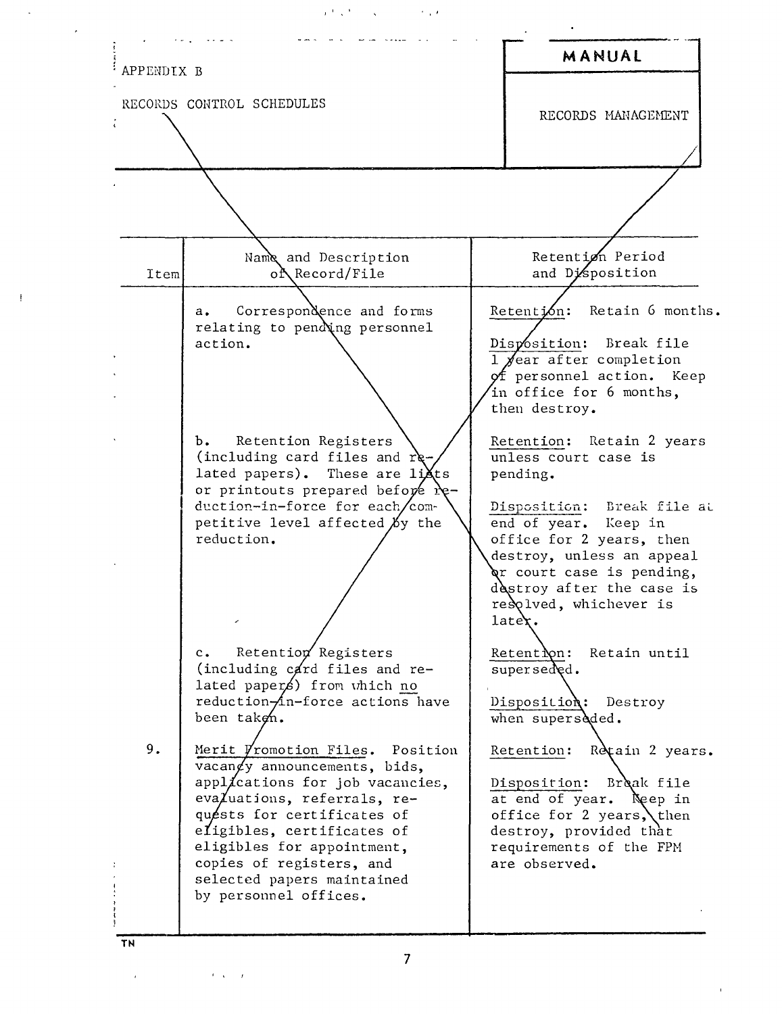的复数形式 , "



**TN**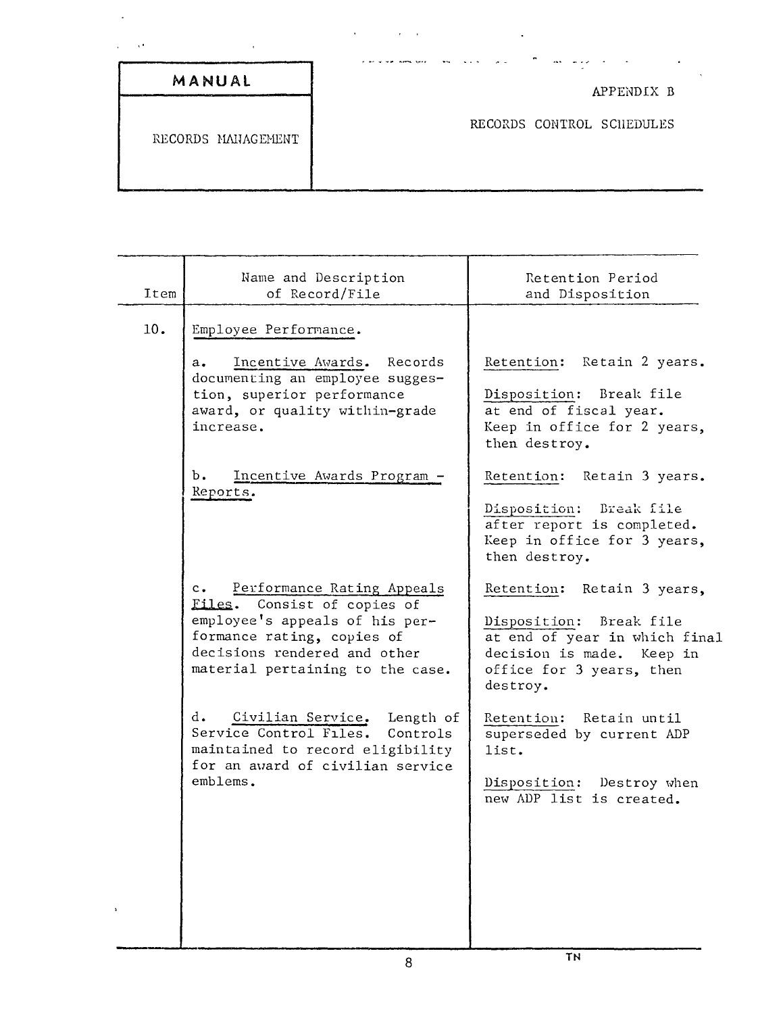|                    | $\bullet$                 |
|--------------------|---------------------------|
| MANUAL             | APPENDIX B                |
| RECORDS MANAGEMENT | RECORDS CONTROL SCHEDULES |

 $\epsilon = \frac{1}{2}$ 

 $\ddot{\phantom{0}}$ 

| Item | Name and Description<br>of Record/File                                                                                                                     | Retention Period<br>and Disposition                                                                                             |
|------|------------------------------------------------------------------------------------------------------------------------------------------------------------|---------------------------------------------------------------------------------------------------------------------------------|
| 10.  | Employee Performance.                                                                                                                                      |                                                                                                                                 |
|      | Incentive Awards. Records<br>$a_{\bullet}$<br>documenting an employee sugges-<br>tion, superior performance<br>award, or quality within-grade<br>increase. | Retention: Retain 2 years.<br>Disposition: Break file<br>at end of fiscal year.<br>Keep in office for 2 years,<br>then destroy. |
|      | Ъ.<br>Incentive Awards Program -<br>Reports.                                                                                                               | Retention: Retain 3 years.                                                                                                      |
|      |                                                                                                                                                            | Disposition: Break file<br>after report is completed.<br>Keep in office for 3 years,<br>then destroy.                           |
|      | $c_{\bullet}$<br>Performance Rating Appeals<br>Files. Consist of copies of                                                                                 | Retention: Retain 3 years,                                                                                                      |
|      | employee's appeals of his per-<br>formance rating, copies of<br>decisions rendered and other<br>material pertaining to the case.                           | Disposition: Break file<br>at end of year in which final<br>decision is made. Keep in<br>office for 3 years, then<br>destroy.   |
|      | d.<br>Civilian Service. Length of<br>Service Control Files. Controls<br>maintained to record eligibility                                                   | Retention: Retain until<br>superseded by current ADP<br>list.                                                                   |
|      | for an award of civilian service<br>emblems.                                                                                                               | Disposition: Destroy when<br>new ADP list is created.                                                                           |
|      |                                                                                                                                                            |                                                                                                                                 |
|      |                                                                                                                                                            |                                                                                                                                 |
|      |                                                                                                                                                            |                                                                                                                                 |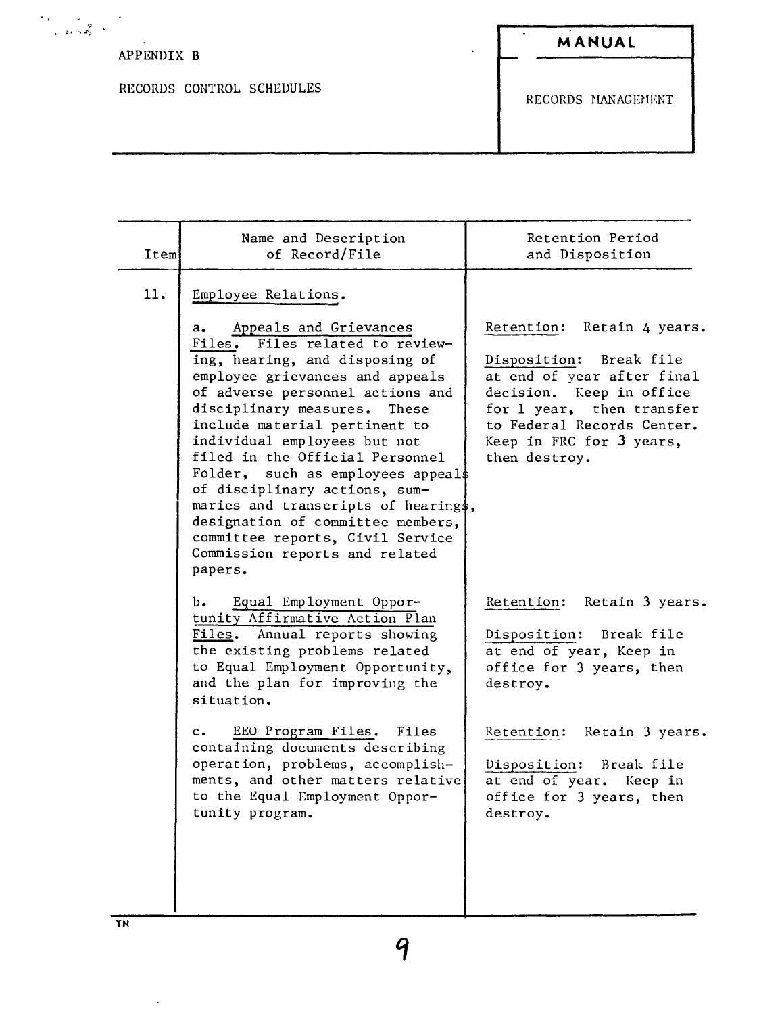# APPENDIX B

 $\begin{aligned} \mathcal{F}_{\mathcal{A}}(\mathbf{y}) &= \mathcal{F}_{\mathcal{A}}(\mathbf{y}) \\ &= \mathcal{F}_{\mathcal{A}}(\mathbf{y}) + \mathcal{F}_{\mathcal{A}}(\mathbf{y}) \end{aligned}$ 

RECORDS CONTROL SCHEDULES

 $\overline{\phantom{a}}$ 

RECORDS MANAGEMENT

| Item | Name and Description<br>of Record/File                                                                                                                                                                                                                                                                                                                                                                                                                                                                                                                                      | Retention Period<br>and Disposition                                                                                                                                                                                                      |
|------|-----------------------------------------------------------------------------------------------------------------------------------------------------------------------------------------------------------------------------------------------------------------------------------------------------------------------------------------------------------------------------------------------------------------------------------------------------------------------------------------------------------------------------------------------------------------------------|------------------------------------------------------------------------------------------------------------------------------------------------------------------------------------------------------------------------------------------|
| 11.  | Employee Relations.<br>Appeals and Grievances<br>а.<br>Files. Files related to review-<br>ing, hearing, and disposing of<br>employee grievances and appeals<br>of adverse personnel actions and<br>disciplinary measures.<br>These<br>include material pertinent to<br>individual employees but not<br>filed in the Official Personnel<br>Folder, such as employees appeal\$<br>of disciplinary actions, sum-<br>maries and transcripts of hearing\$,<br>designation of committee members,<br>committee reports, Civil Service<br>Commission reports and related<br>papers. | Retention:<br>Retain 4 years.<br>Disposition: Break file<br>at end of year after final<br>decision. Keep in office<br>for 1 year, then transfer<br>to Federal Records Center.<br>Keep in FRC for 3 years,<br>then destroy.               |
|      | Equal Employment Oppor-<br>b.<br>tunity Affirmative Action Plan<br>Files. Annual reports showing<br>the existing problems related<br>to Equal Employment Opportunity,<br>and the plan for improving the<br>situation.<br>EEO Program Files. Files<br>$c_{\bullet}$<br>containing documents describing<br>operation, problems, accomplish-<br>ments, and other matters relative<br>to the Equal Employment Oppor-                                                                                                                                                            | Retention: Retain 3 years.<br>Disposition: Break file<br>at end of year, Keep in<br>office for 3 years, then<br>destroy.<br>Retention: Retain 3 years.<br>Disposition: Break file<br>at end of year. Keep in<br>office for 3 years, then |
|      | tunity program.                                                                                                                                                                                                                                                                                                                                                                                                                                                                                                                                                             | destroy.                                                                                                                                                                                                                                 |

 $\ddot{\phantom{0}}$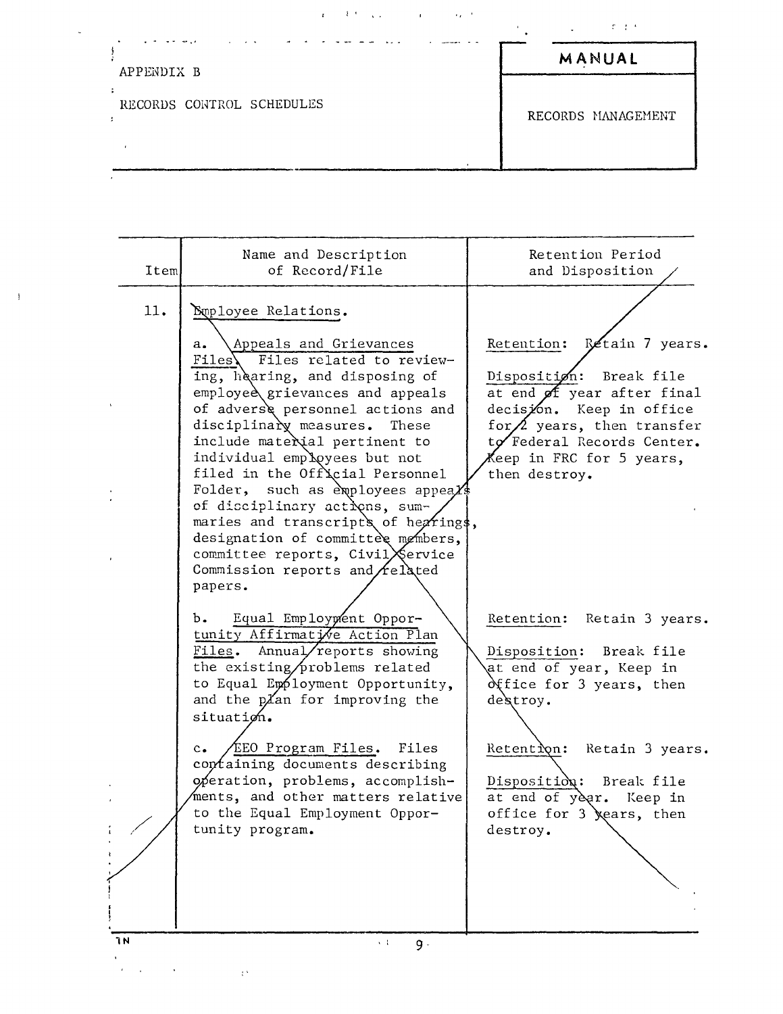| APPENDIX B                | MANUAL             |
|---------------------------|--------------------|
| RECORDS CONTROL SCHEDULES | RECORDS MANAGEMENT |

 $\bar{1}$ 

| Iteml                                             | Name and Description<br>of Record/File                                                                                                                                                                                                                                                                                                                                                                                                                                                                                                                                                                                                                                               | Retention Period<br>and Disposition                                                                                                                                                                                                                                                         |
|---------------------------------------------------|--------------------------------------------------------------------------------------------------------------------------------------------------------------------------------------------------------------------------------------------------------------------------------------------------------------------------------------------------------------------------------------------------------------------------------------------------------------------------------------------------------------------------------------------------------------------------------------------------------------------------------------------------------------------------------------|---------------------------------------------------------------------------------------------------------------------------------------------------------------------------------------------------------------------------------------------------------------------------------------------|
| 11.                                               | Suployee Relations.<br>Appeals and Grievances<br>a.<br>Files\ Files related to review-<br>ing, hearing, and disposing of<br>employee grievances and appeals<br>of adverse personnel actions and<br>disciplinary measures.<br>These<br>include material pertinent to<br>individual employees but not<br>filed in the Official Personnel<br>Folder, such as exployees appeal<br>of disciplinary actions, sum-<br>maries and transcripts of hearings,<br>designation of committee members,<br>committee reports, CivilXervice<br>Commission reports and $\Lambda$ elated<br>papers.<br>Equal Employment Oppor-<br>b.<br>tunity Affirmative Action Plan<br>Files. Annual/reports showing | Retention: Retain 7 years.<br>Disposition: Break file<br>at end of year after final<br>decision. Keep in office<br>for $\triangle$ years, then transfer<br>to Federal Records Center.<br>Keep in FRC for 5 years,<br>then destroy.<br>Retention: Retain 3 years.<br>Disposition: Break file |
| ٦N<br>$\mathbf{r} = \mathbf{r} \times \mathbf{r}$ | the existing/problems related<br>to Equal Employment Opportunity,<br>and the plan for improving the<br>situation.<br>c. EEO Program Files.<br>Files<br>containing documents describing<br>operation, problems, accomplish-<br>ments, and other matters relative<br>to the Equal Employment Oppor-<br>tunity program.<br>$\sim 1$<br>9.<br>$\mathcal{V}^{(k)}$                                                                                                                                                                                                                                                                                                                        | at end of year, Keep in<br>office for 3 years, then<br>destroy.<br>Retention:<br>Retain 3 years.<br>Disposition: Break file<br>at end of year. Keep in<br>office for 3 <i>jears</i> , then<br>destroy.                                                                                      |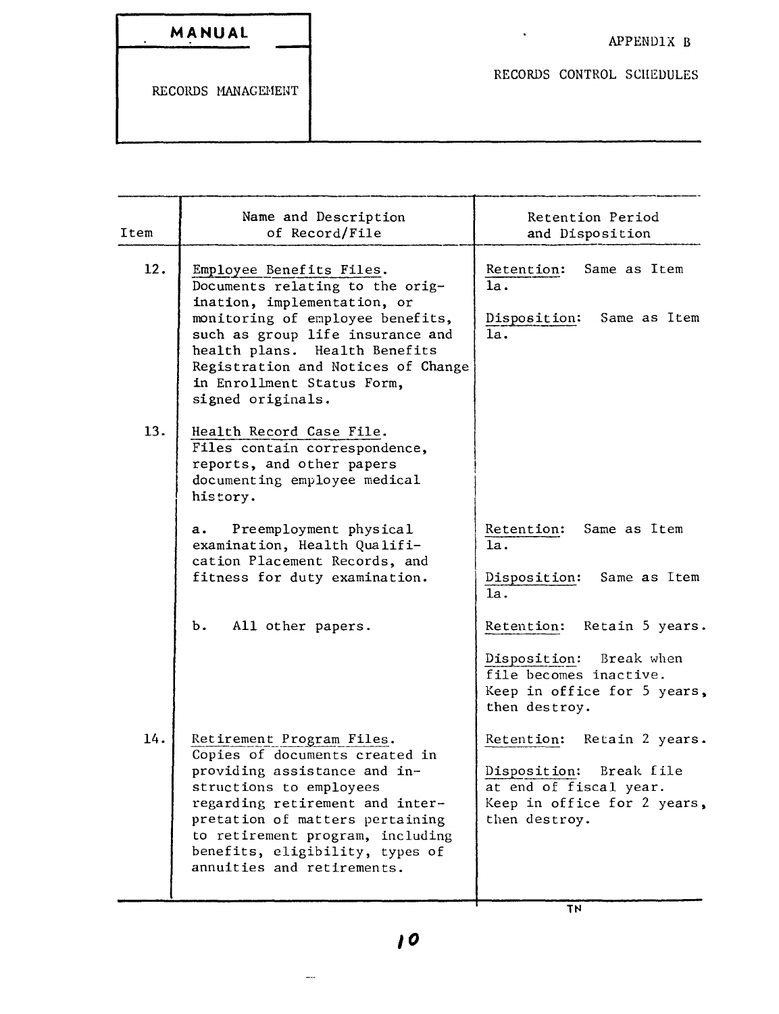| MANUAL |  |  |  |
|--------|--|--|--|
|        |  |  |  |

RECORDS CONTROL SCHEDULES

| Item | Name and Description<br>of Record/File                                                                                                                                                                                                                                                            | Retention Period<br>and Disposition                                                                                                   |
|------|---------------------------------------------------------------------------------------------------------------------------------------------------------------------------------------------------------------------------------------------------------------------------------------------------|---------------------------------------------------------------------------------------------------------------------------------------|
| 12.  | Employee Benefits Files.<br>Documents relating to the orig-<br>ination, implementation, or<br>monitoring of employee benefits,<br>such as group life insurance and<br>health plans. Health Benefits<br>Registration and Notices of Change<br>in Enrollment Status Form,<br>signed originals.      | Retention:<br>Same as Item<br>1a.<br>Disposition: Same as Item<br>1a.                                                                 |
| 13.  | Health Record Case File.<br>Files contain correspondence,<br>reports, and other papers<br>documenting employee medical<br>history.                                                                                                                                                                |                                                                                                                                       |
|      | Preemployment physical<br>а.<br>examination, Health Qualifi-<br>cation Placement Records, and<br>fitness for duty examination.                                                                                                                                                                    | Retention:<br>Same as Item<br>1a.<br>Disposition: Same as Item<br>1a.                                                                 |
|      | All other papers.<br>b.                                                                                                                                                                                                                                                                           | Retention: Retain 5 years.<br>Disposition: Break when<br>file becomes inactive.<br>Keep in office for 5 years,<br>then destroy.       |
| 14.  | Retirement Program Files.<br>Copies of documents created in<br>providing assistance and in-<br>structions to employees<br>regarding retirement and inter-<br>pretation of matters pertaining<br>to retirement program, including<br>benefits, eligibility, types of<br>annuities and retirements. | Retention:<br>Retain 2 years.<br>Disposition:<br>Break file<br>at end of fiscal year.<br>Keep in office for 2 years,<br>then destroy. |

TN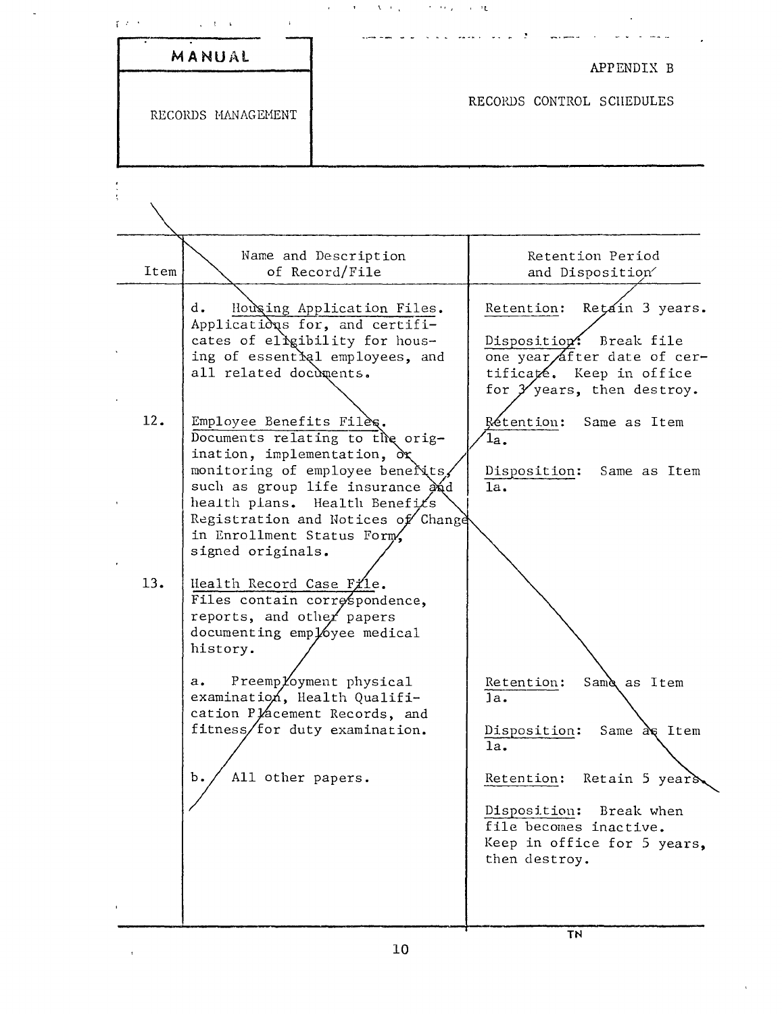|            | RECORDS MANAGEMENT                                                                                                                                                                                                                                                                                                                                                                                                                                                                                                                                                                                                                                                                                         | RECORDS CONTROL SCHEDULES                                                                                                                                                                                                                                                                                                                                                                                                                       |
|------------|------------------------------------------------------------------------------------------------------------------------------------------------------------------------------------------------------------------------------------------------------------------------------------------------------------------------------------------------------------------------------------------------------------------------------------------------------------------------------------------------------------------------------------------------------------------------------------------------------------------------------------------------------------------------------------------------------------|-------------------------------------------------------------------------------------------------------------------------------------------------------------------------------------------------------------------------------------------------------------------------------------------------------------------------------------------------------------------------------------------------------------------------------------------------|
|            |                                                                                                                                                                                                                                                                                                                                                                                                                                                                                                                                                                                                                                                                                                            |                                                                                                                                                                                                                                                                                                                                                                                                                                                 |
| Item       | Name and Description<br>of Record/File                                                                                                                                                                                                                                                                                                                                                                                                                                                                                                                                                                                                                                                                     | Retention Period<br>and Disposition                                                                                                                                                                                                                                                                                                                                                                                                             |
| 12.<br>13. | d.<br>Applications for, and certifi-<br>cates of eligibility for hous-<br>ing of essential employees, and<br>all related documents.<br>Employee Benefits Files.<br>Documents relating to the orig-<br>ination, implementation, $\partial x$<br>monitoring of employee benerits,<br>such as group life insurance and<br>health plans. Health Benefits<br>in Enrollment Status Form.<br>signed originals.<br>Health Record Case File.<br>Files contain correspondence,<br>reports, and other papers<br>documenting employee medical<br>history.<br>Preemployment physical<br>а.<br>examination, Health Qualifi-<br>cation Placement Records, and<br>fitness/for duty examination.<br>All other papers.<br>Ъ. | Housing Application Files.<br>Retain 3 years.<br>Retention:<br>Disposition: Break file<br>one year after date of cer-<br>tificaté. Keep in office<br>for $\mathcal Y$ years, then destroy.<br>Rétention:<br>Same as Item<br>$1a$ .<br>Disposition:<br>Same as Item<br>$\overline{1a}$ .<br>Registration and Notices of Change<br>Same as Item<br>Retention:<br>1a.<br>Disposition:<br>Same $a \in$ Item<br>1a.<br>Retention:<br>Retain 5 years. |
|            |                                                                                                                                                                                                                                                                                                                                                                                                                                                                                                                                                                                                                                                                                                            | Disposition:<br>Break when<br>file becomes inactive.<br>Keep in office for 5 years,<br>then destroy.                                                                                                                                                                                                                                                                                                                                            |

 $\mathbb{Z}$ 

 $\overline{TN}$ 

 $\sim$   $\alpha$ 

 $\alpha$  ,  $\alpha$  ,  $\alpha$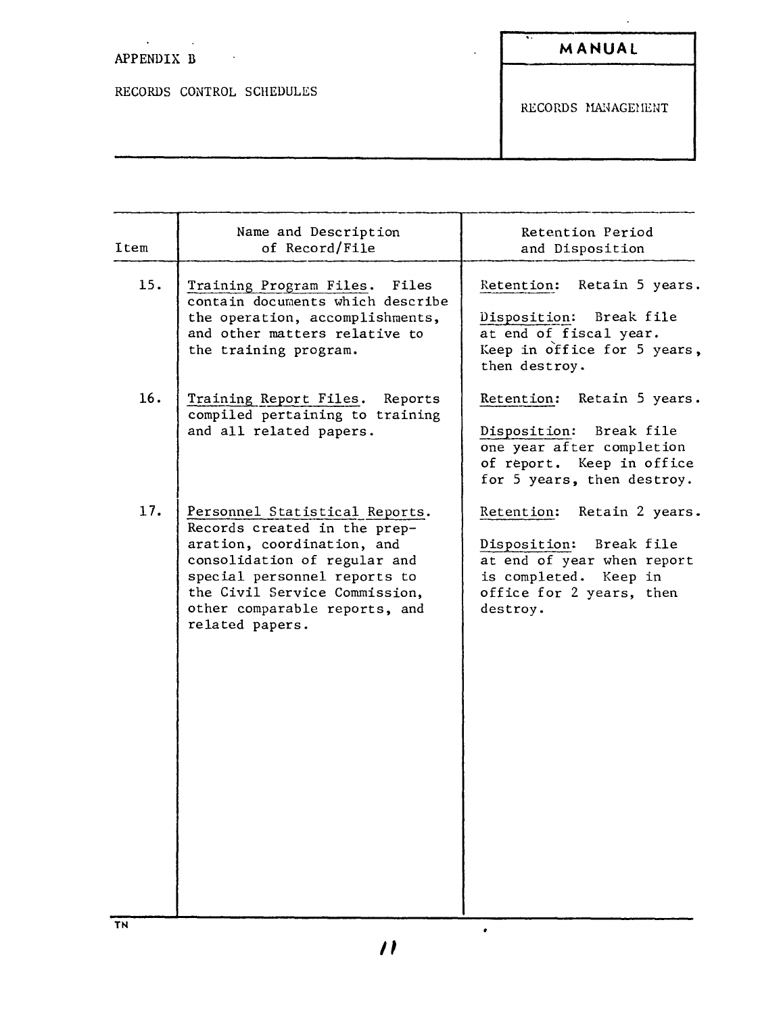### $\mathcal{L}^{\pm}$ APPENDIX B

RECORDS CONTROL SCHEDULES

 $\sim$ 

**MANUAL**

 $\mathcal{L}_{\text{max}}$  and  $\mathcal{L}_{\text{max}}$ 

RECORDS MANAGEMENT

| Item | Name and Description<br>of Record/File                                                                                                                                                                                                            | Retention Period<br>and Disposition                                                                                                                  |
|------|---------------------------------------------------------------------------------------------------------------------------------------------------------------------------------------------------------------------------------------------------|------------------------------------------------------------------------------------------------------------------------------------------------------|
| 15.  | Training Program Files. Files<br>contain documents which describe<br>the operation, accomplishments,<br>and other matters relative to<br>the training program.                                                                                    | Retention: Retain 5 years.<br>Disposition: Break file<br>at end of fiscal year.<br>Keep in office for 5 years,<br>then destroy.                      |
| 16.  | Training Report Files. Reports<br>compiled pertaining to training<br>and all related papers.                                                                                                                                                      | Retention: Retain 5 years.<br>Disposition: Break file<br>one year after completion<br>of report. Keep in office<br>for 5 years, then destroy.        |
| 17.  | Personnel Statistical Reports.<br>Records created in the prep-<br>aration, coordination, and<br>consolidation of regular and<br>special personnel reports to<br>the Civil Service Commission,<br>other comparable reports, and<br>related papers. | Retention: Retain 2 years.<br>Disposition: Break file<br>at end of year when report<br>is completed. Keep in<br>office for 2 years, then<br>destroy. |

**TN**

 $\bullet$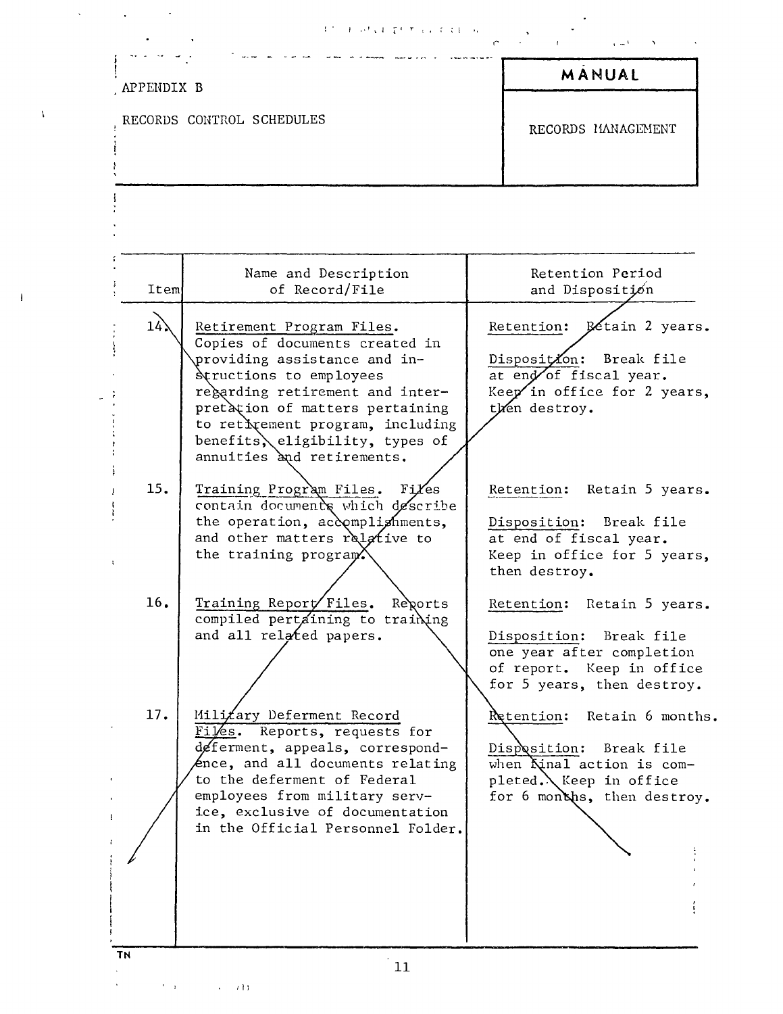, .,' ~l l <sup>r</sup> <sup>T</sup> t , ; ;} ,

|  | the contract of the contract of the contract of the contract of the contract of the contract of the contract of |  |  |
|--|-----------------------------------------------------------------------------------------------------------------|--|--|
|  |                                                                                                                 |  |  |

|   | APPENDIX B                                                                                                                                                                                                                                                                                               | MANUAL                                                                                                                                          |
|---|----------------------------------------------------------------------------------------------------------------------------------------------------------------------------------------------------------------------------------------------------------------------------------------------------------|-------------------------------------------------------------------------------------------------------------------------------------------------|
| A | RECORDS CONTROL SCHEDULES                                                                                                                                                                                                                                                                                | RECORDS MANAGEMENT                                                                                                                              |
|   |                                                                                                                                                                                                                                                                                                          |                                                                                                                                                 |
|   | Name and Description<br>Item<br>of Record/File                                                                                                                                                                                                                                                           | Retention Period<br>and Disposition                                                                                                             |
|   | 14.<br>Retirement Program Files.<br>Copies of documents created in<br>providing assistance and in-<br>Structions to employees<br>regarding retirement and inter-<br>pretation of matters pertaining<br>to retivement program, including<br>benefits, eligibility, types of<br>annuities and retirements. | Retention: Betain 2 years.<br>Disposition: Break file<br>at end of fiscal year.<br>Keep in office for 2 years,<br>then destroy.                 |
|   | 15.<br>Training Program Files. Files<br>contain documents which describe<br>the operation, accomplighments,<br>and other matters relative to<br>the training program <sup>X</sup>                                                                                                                        | Retention: Retain 5 years.<br>Disposition: Break file<br>at end of fiscal year.<br>Keep in office for 5 years,<br>then destroy.                 |
|   | 16.<br>Training Report Files. Reports<br>compiled pertaining to training<br>and all related papers.                                                                                                                                                                                                      | Retention: Retain 5 years.<br>Disposition: Break file<br>one year after completion<br>of report. Keep in office<br>for 5 years, then destroy.   |
|   | Milizary Deferment Record<br>17.<br>Files. Reports, requests for<br>deferment, appeals, correspond-<br>$\ell$ nce, and all documents relating<br>to the deferment of Federal<br>employees from military serv-<br>ice, exclusive of documentation<br>in the Official Personnel Folder.                    | Retention:<br>Retain 6 months.<br>Disposition: Break file<br>when Kinal action is com-<br>pleted. Keep in office<br>for 6 months, then destroy. |
|   |                                                                                                                                                                                                                                                                                                          |                                                                                                                                                 |